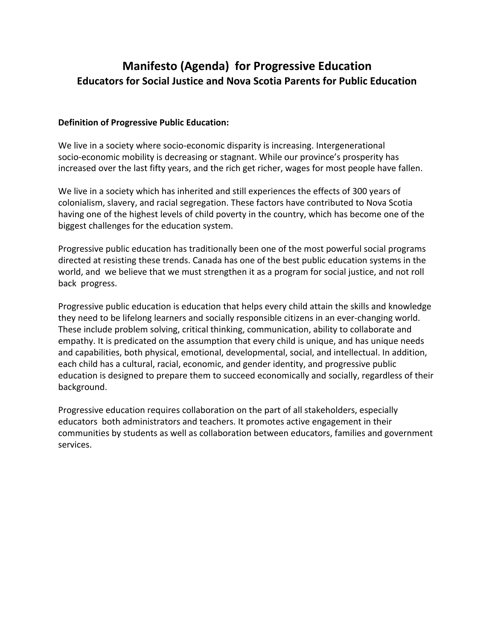# **Manifesto (Agenda) for Progressive Education Educators for Social Justice and Nova Scotia Parents for Public Education**

#### **Definition of Progressive Public Education:**

We live in a society where socio-economic disparity is increasing. Intergenerational socio-economic mobility is decreasing or stagnant. While our province's prosperity has increased over the last fifty years, and the rich get richer, wages for most people have fallen.

We live in a society which has inherited and still experiences the effects of 300 years of colonialism, slavery, and racial segregation. These factors have contributed to Nova Scotia having one of the highest levels of child poverty in the country, which has become one of the biggest challenges for the education system.

Progressive public education has traditionally been one of the most powerful social programs directed at resisting these trends. Canada has one of the best public education systems in the world, and we believe that we must strengthen it as a program for social justice, and not roll back progress.

Progressive public education is education that helps every child attain the skills and knowledge they need to be lifelong learners and socially responsible citizens in an ever-changing world. These include problem solving, critical thinking, communication, ability to collaborate and empathy. It is predicated on the assumption that every child is unique, and has unique needs and capabilities, both physical, emotional, developmental, social, and intellectual. In addition, each child has a cultural, racial, economic, and gender identity, and progressive public education is designed to prepare them to succeed economically and socially, regardless of their background.

Progressive education requires collaboration on the part of all stakeholders, especially educators both administrators and teachers. It promotes active engagement in their communities by students as well as collaboration between educators, families and government services.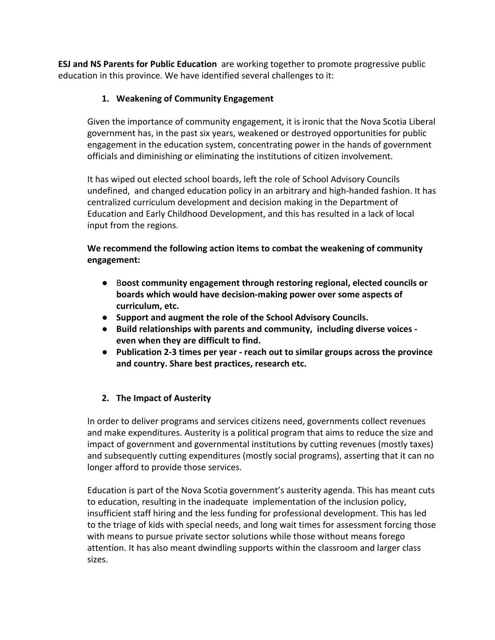**ESJ and NS Parents for Public Education** are working together to promote progressive public education in this province. We have identified several challenges to it:

# **1. Weakening of Community Engagement**

Given the importance of community engagement, it is ironic that the Nova Scotia Liberal government has, in the past six years, weakened or destroyed opportunities for public engagement in the education system, concentrating power in the hands of government officials and diminishing or eliminating the institutions of citizen involvement.

It has wiped out elected school boards, left the role of School Advisory Councils undefined, and changed education policy in an arbitrary and high-handed fashion. It has centralized curriculum development and decision making in the Department of Education and Early Childhood Development, and this has resulted in a lack of local input from the regions.

## **We recommend the following action items to combat the weakening of community engagement:**

- B**oost community engagement through restoring regional, elected councils or boards which would have decision-making power over some aspects of curriculum, etc.**
- **● Support and augment the role of the School Advisory Councils.**
- **● Build relationships with parents and community, including diverse voices even when they are difficult to find.**
- **● Publication 2-3 times per year reach out to similar groups across the province and country. Share best practices, research etc.**

# **2. The Impact of Austerity**

In order to deliver programs and services citizens need, governments collect revenues and make expenditures. Austerity is a political program that aims to reduce the size and impact of government and governmental institutions by cutting revenues (mostly taxes) and subsequently cutting expenditures (mostly social programs), asserting that it can no longer afford to provide those services.

Education is part of the Nova Scotia government's austerity agenda. This has meant cuts to education, resulting in the inadequate implementation of the inclusion policy, insufficient staff hiring and the less funding for professional development. This has led to the triage of kids with special needs, and long wait times for assessment forcing those with means to pursue private sector solutions while those without means forego attention. It has also meant dwindling supports within the classroom and larger class sizes.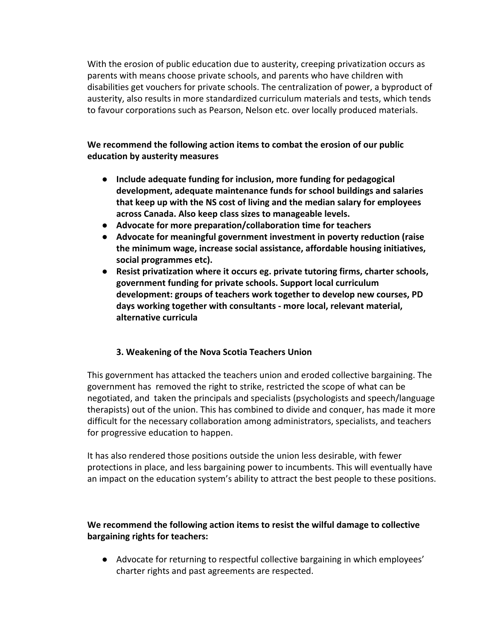With the erosion of public education due to austerity, creeping privatization occurs as parents with means choose private schools, and parents who have children with disabilities get vouchers for private schools. The centralization of power, a byproduct of austerity, also results in more standardized curriculum materials and tests, which tends to favour corporations such as Pearson, Nelson etc. over locally produced materials.

## **We recommend the following action items to combat the erosion of our public education by austerity measures**

- **Include adequate funding for inclusion, more funding for pedagogical development, adequate maintenance funds for school buildings and salaries that keep up with the NS cost of living and the median salary for employees across Canada. Also keep class sizes to manageable levels.**
- **Advocate for more preparation/collaboration time for teachers**
- **Advocate for meaningful government investment in poverty reduction (raise the minimum wage, increase social assistance, affordable housing initiatives, social programmes etc).**
- **Resist privatization where it occurs eg. private tutoring firms, charter schools, government funding for private schools. Support local curriculum development: groups of teachers work together to develop new courses, PD days working together with consultants - more local, relevant material, alternative curricula**

### **3. Weakening of the Nova Scotia Teachers Union**

This government has attacked the teachers union and eroded collective bargaining. The government has removed the right to strike, restricted the scope of what can be negotiated, and taken the principals and specialists (psychologists and speech/language therapists) out of the union. This has combined to divide and conquer, has made it more difficult for the necessary collaboration among administrators, specialists, and teachers for progressive education to happen.

It has also rendered those positions outside the union less desirable, with fewer protections in place, and less bargaining power to incumbents. This will eventually have an impact on the education system's ability to attract the best people to these positions.

# **We recommend the following action items to resist the wilful damage to collective bargaining rights for teachers:**

● Advocate for returning to respectful collective bargaining in which employees' charter rights and past agreements are respected.